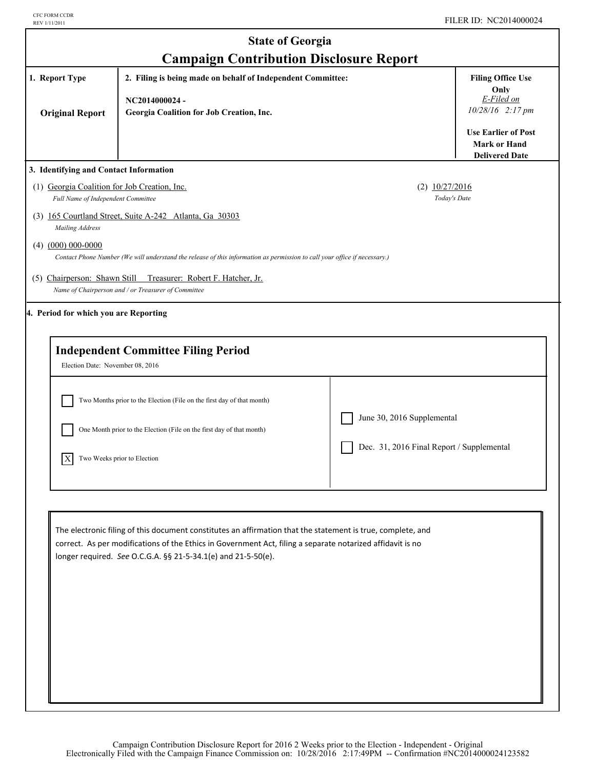| <b>State of Georgia</b>                                                                                                                                              |                                                                                                                                                                                                                                                                                                                                                                                                                                                                                                                                                                                                                                                              |                                                                                                                                                                                                                                                                                                                                                                                                                                                                         |  |  |
|----------------------------------------------------------------------------------------------------------------------------------------------------------------------|--------------------------------------------------------------------------------------------------------------------------------------------------------------------------------------------------------------------------------------------------------------------------------------------------------------------------------------------------------------------------------------------------------------------------------------------------------------------------------------------------------------------------------------------------------------------------------------------------------------------------------------------------------------|-------------------------------------------------------------------------------------------------------------------------------------------------------------------------------------------------------------------------------------------------------------------------------------------------------------------------------------------------------------------------------------------------------------------------------------------------------------------------|--|--|
| <b>Campaign Contribution Disclosure Report</b>                                                                                                                       |                                                                                                                                                                                                                                                                                                                                                                                                                                                                                                                                                                                                                                                              |                                                                                                                                                                                                                                                                                                                                                                                                                                                                         |  |  |
| 1. Report Type<br>2. Filing is being made on behalf of Independent Committee:<br>NC2014000024-<br>Georgia Coalition for Job Creation, Inc.<br><b>Original Report</b> |                                                                                                                                                                                                                                                                                                                                                                                                                                                                                                                                                                                                                                                              |                                                                                                                                                                                                                                                                                                                                                                                                                                                                         |  |  |
|                                                                                                                                                                      |                                                                                                                                                                                                                                                                                                                                                                                                                                                                                                                                                                                                                                                              | <b>Delivered Date</b>                                                                                                                                                                                                                                                                                                                                                                                                                                                   |  |  |
|                                                                                                                                                                      |                                                                                                                                                                                                                                                                                                                                                                                                                                                                                                                                                                                                                                                              |                                                                                                                                                                                                                                                                                                                                                                                                                                                                         |  |  |
|                                                                                                                                                                      |                                                                                                                                                                                                                                                                                                                                                                                                                                                                                                                                                                                                                                                              |                                                                                                                                                                                                                                                                                                                                                                                                                                                                         |  |  |
|                                                                                                                                                                      |                                                                                                                                                                                                                                                                                                                                                                                                                                                                                                                                                                                                                                                              |                                                                                                                                                                                                                                                                                                                                                                                                                                                                         |  |  |
| Treasurer: Robert F. Hatcher, Jr.                                                                                                                                    |                                                                                                                                                                                                                                                                                                                                                                                                                                                                                                                                                                                                                                                              |                                                                                                                                                                                                                                                                                                                                                                                                                                                                         |  |  |
|                                                                                                                                                                      |                                                                                                                                                                                                                                                                                                                                                                                                                                                                                                                                                                                                                                                              |                                                                                                                                                                                                                                                                                                                                                                                                                                                                         |  |  |
|                                                                                                                                                                      |                                                                                                                                                                                                                                                                                                                                                                                                                                                                                                                                                                                                                                                              |                                                                                                                                                                                                                                                                                                                                                                                                                                                                         |  |  |
|                                                                                                                                                                      |                                                                                                                                                                                                                                                                                                                                                                                                                                                                                                                                                                                                                                                              |                                                                                                                                                                                                                                                                                                                                                                                                                                                                         |  |  |
|                                                                                                                                                                      |                                                                                                                                                                                                                                                                                                                                                                                                                                                                                                                                                                                                                                                              |                                                                                                                                                                                                                                                                                                                                                                                                                                                                         |  |  |
|                                                                                                                                                                      |                                                                                                                                                                                                                                                                                                                                                                                                                                                                                                                                                                                                                                                              |                                                                                                                                                                                                                                                                                                                                                                                                                                                                         |  |  |
|                                                                                                                                                                      |                                                                                                                                                                                                                                                                                                                                                                                                                                                                                                                                                                                                                                                              |                                                                                                                                                                                                                                                                                                                                                                                                                                                                         |  |  |
|                                                                                                                                                                      |                                                                                                                                                                                                                                                                                                                                                                                                                                                                                                                                                                                                                                                              |                                                                                                                                                                                                                                                                                                                                                                                                                                                                         |  |  |
|                                                                                                                                                                      | 3. Identifying and Contact Information<br>(1) Georgia Coalition for Job Creation, Inc.<br>Full Name of Independent Committee<br>(3) 165 Courtland Street, Suite A-242 Atlanta, Ga 30303<br>(5) Chairperson: Shawn Still<br>Name of Chairperson and / or Treasurer of Committee<br>4. Period for which you are Reporting<br><b>Independent Committee Filing Period</b><br>Election Date: November 08, 2016<br>Two Months prior to the Election (File on the first day of that month)<br>One Month prior to the Election (File on the first day of that month)<br>Two Weeks prior to Election<br>longer required. See O.C.G.A. §§ 21-5-34.1(e) and 21-5-50(e). | $(2)$ $10/27/2016$<br>Today's Date<br>Contact Phone Number (We will understand the release of this information as permission to call your office if necessary.)<br>June 30, 2016 Supplemental<br>Dec. 31, 2016 Final Report / Supplemental<br>The electronic filing of this document constitutes an affirmation that the statement is true, complete, and<br>correct. As per modifications of the Ethics in Government Act, filing a separate notarized affidavit is no |  |  |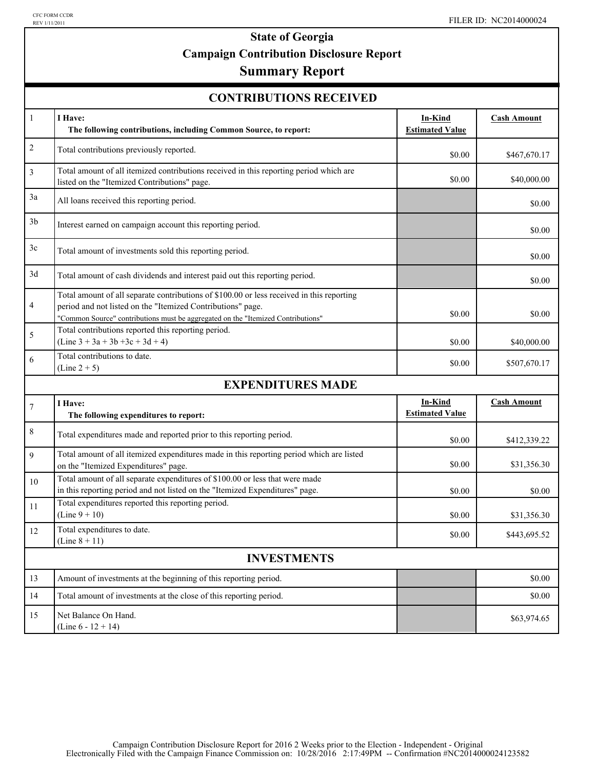# **State of Georgia Campaign Contribution Disclosure Report**

# **Summary Report**

| <b>CONTRIBUTIONS RECEIVED</b> |  |
|-------------------------------|--|
|-------------------------------|--|

| $\mathbf{1}$       | I Have:<br>The following contributions, including Common Source, to report:                                                                                                                                                                  | <b>In-Kind</b><br><b>Estimated Value</b> | <b>Cash Amount</b> |  |
|--------------------|----------------------------------------------------------------------------------------------------------------------------------------------------------------------------------------------------------------------------------------------|------------------------------------------|--------------------|--|
| $\overline{c}$     | Total contributions previously reported.                                                                                                                                                                                                     | \$0.00                                   | \$467,670.17       |  |
| 3                  | Total amount of all itemized contributions received in this reporting period which are<br>listed on the "Itemized Contributions" page.                                                                                                       | \$0.00                                   | \$40,000.00        |  |
| 3a                 | All loans received this reporting period.                                                                                                                                                                                                    |                                          | \$0.00             |  |
| 3 <sub>b</sub>     | Interest earned on campaign account this reporting period.                                                                                                                                                                                   |                                          | \$0.00             |  |
| 3c                 | Total amount of investments sold this reporting period.                                                                                                                                                                                      |                                          | \$0.00             |  |
| 3d                 | Total amount of cash dividends and interest paid out this reporting period.                                                                                                                                                                  |                                          | \$0.00             |  |
| 4                  | Total amount of all separate contributions of \$100.00 or less received in this reporting<br>period and not listed on the "Itemized Contributions" page.<br>"Common Source" contributions must be aggregated on the "Itemized Contributions" | \$0.00                                   | \$0.00             |  |
| 5                  | Total contributions reported this reporting period.<br>$(Line 3 + 3a + 3b + 3c + 3d + 4)$                                                                                                                                                    | \$0.00                                   | \$40,000.00        |  |
| 6                  | Total contributions to date.<br>$(Line 2 + 5)$                                                                                                                                                                                               | \$0.00                                   | \$507,670.17       |  |
|                    | <b>EXPENDITURES MADE</b>                                                                                                                                                                                                                     |                                          |                    |  |
| $\tau$             | I Have:<br>The following expenditures to report:                                                                                                                                                                                             | In-Kind<br><b>Estimated Value</b>        | <b>Cash Amount</b> |  |
| 8                  | Total expenditures made and reported prior to this reporting period.                                                                                                                                                                         | \$0.00                                   | \$412,339.22       |  |
| 9                  | Total amount of all itemized expenditures made in this reporting period which are listed<br>on the "Itemized Expenditures" page.                                                                                                             | \$0.00                                   | \$31,356.30        |  |
| 10                 | Total amount of all separate expenditures of \$100.00 or less that were made<br>in this reporting period and not listed on the "Itemized Expenditures" page.                                                                                 | \$0.00                                   | \$0.00             |  |
| 11                 | Total expenditures reported this reporting period.<br>$(Line 9 + 10)$                                                                                                                                                                        | \$0.00                                   | \$31,356.30        |  |
| 12                 | Total expenditures to date.<br>(Line $8 + 11$ )                                                                                                                                                                                              | \$0.00                                   | \$443,695.52       |  |
| <b>INVESTMENTS</b> |                                                                                                                                                                                                                                              |                                          |                    |  |
| 13                 | Amount of investments at the beginning of this reporting period.                                                                                                                                                                             |                                          | \$0.00             |  |
| 14                 | Total amount of investments at the close of this reporting period.                                                                                                                                                                           |                                          | \$0.00             |  |
| 15                 | Net Balance On Hand.<br>(Line $6 - 12 + 14$ )                                                                                                                                                                                                |                                          | \$63,974.65        |  |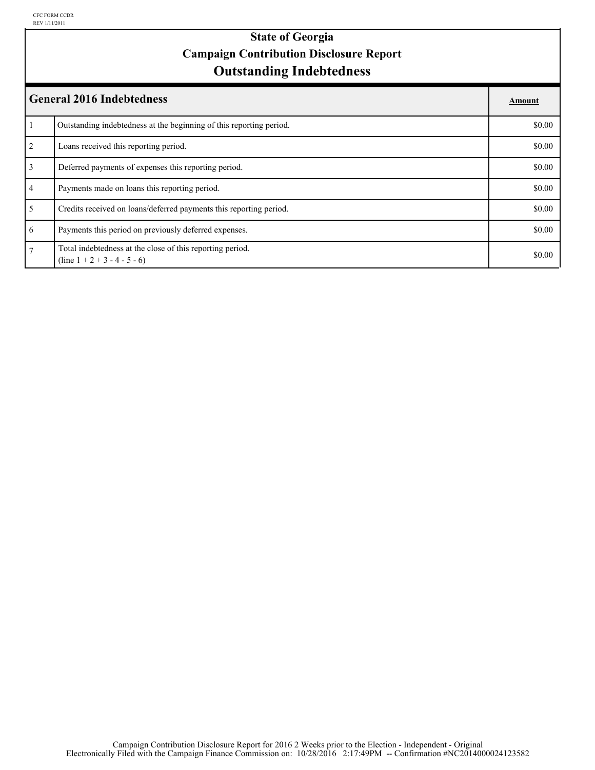### **Outstanding Indebtedness State of Georgia Campaign Contribution Disclosure Report**

|                 | <b>General 2016 Indebtedness</b>                                                            | Amount |
|-----------------|---------------------------------------------------------------------------------------------|--------|
|                 | Outstanding indebtedness at the beginning of this reporting period.                         | \$0.00 |
| 2               | Loans received this reporting period.                                                       | \$0.00 |
| $\overline{3}$  | Deferred payments of expenses this reporting period.                                        | \$0.00 |
| $\overline{4}$  | Payments made on loans this reporting period.                                               | \$0.00 |
| 5 <sup>5</sup>  | Credits received on loans/deferred payments this reporting period.                          | \$0.00 |
| 6               | Payments this period on previously deferred expenses.                                       | \$0.00 |
| $7\overline{ }$ | Total indebtedness at the close of this reporting period.<br>$(line 1 + 2 + 3 - 4 - 5 - 6)$ | \$0.00 |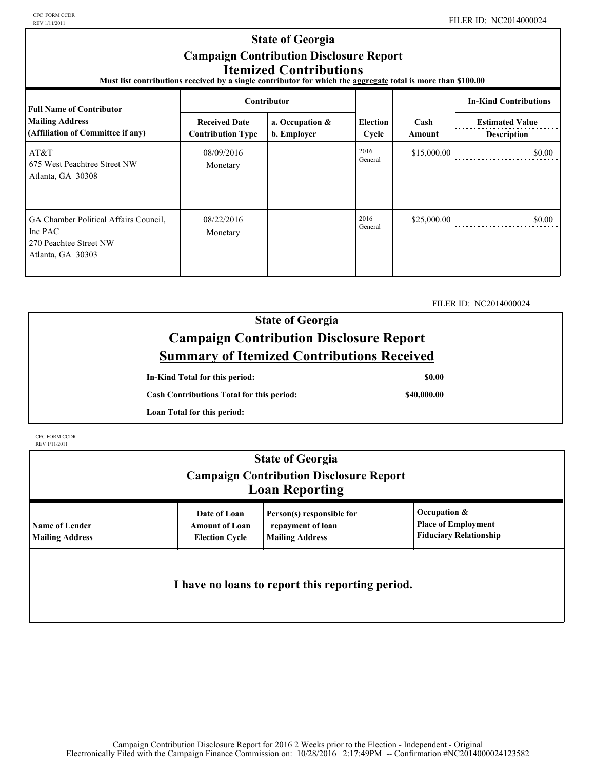CFC FORM CCDR<br>REV 1/11/2011

| <b>State of Georgia</b><br><b>Campaign Contribution Disclosure Report</b><br><b>Itemized Contributions</b><br>Must list contributions received by a single contributor for which the aggregate total is more than \$100.00 |                                                  |                                |                          |                |                                              |  |
|----------------------------------------------------------------------------------------------------------------------------------------------------------------------------------------------------------------------------|--------------------------------------------------|--------------------------------|--------------------------|----------------|----------------------------------------------|--|
| <b>Full Name of Contributor</b>                                                                                                                                                                                            | <b>Contributor</b>                               |                                |                          |                | <b>In-Kind Contributions</b>                 |  |
| <b>Mailing Address</b><br>(Affiliation of Committee if any)                                                                                                                                                                | <b>Received Date</b><br><b>Contribution Type</b> | a. Occupation &<br>b. Employer | <b>Election</b><br>Cycle | Cash<br>Amount | <b>Estimated Value</b><br><b>Description</b> |  |
| AT&T<br>675 West Peachtree Street NW<br>Atlanta, GA 30308                                                                                                                                                                  | 08/09/2016<br>Monetary                           |                                | 2016<br>General          | \$15,000.00    | \$0.00                                       |  |
| GA Chamber Political Affairs Council,<br>Inc PAC<br>270 Peachtee Street NW<br>Atlanta, GA 30303                                                                                                                            | 08/22/2016<br>Monetary                           |                                | 2016<br>General          | \$25,000.00    | \$0.00                                       |  |

FILER ID: NC2014000024

## **State of Georgia Campaign Contribution Disclosure Report Summary of Itemized Contributions Received**

**In-Kind Total for this period:**

**\$0.00**

**Cash Contributions Total for this period:**

**\$40,000.00**

**Loan Total for this period:**

CFC FORM CCDR REV 1/11/2011

| <b>State of Georgia</b><br><b>Campaign Contribution Disclosure Report</b><br><b>Loan Reporting</b> |                                                                |                                                                          |                                                                             |  |
|----------------------------------------------------------------------------------------------------|----------------------------------------------------------------|--------------------------------------------------------------------------|-----------------------------------------------------------------------------|--|
| <b>Name of Lender</b><br><b>Mailing Address</b>                                                    | Date of Loan<br><b>Amount of Loan</b><br><b>Election Cycle</b> | Person(s) responsible for<br>repayment of loan<br><b>Mailing Address</b> | Occupation &<br><b>Place of Employment</b><br><b>Fiduciary Relationship</b> |  |
| I have no loans to report this reporting period.                                                   |                                                                |                                                                          |                                                                             |  |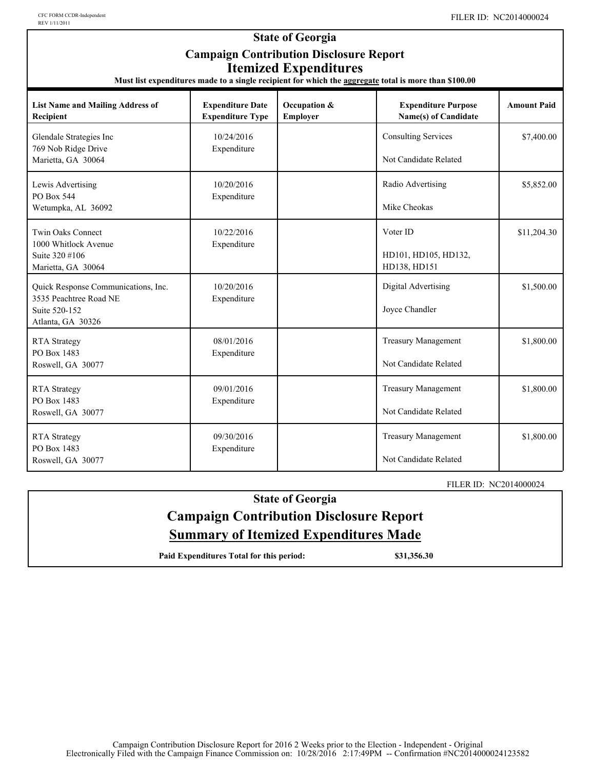| REV 1/11/2011                                                                                                                                                                                                      |                                                    |                          |                                                     |                    |
|--------------------------------------------------------------------------------------------------------------------------------------------------------------------------------------------------------------------|----------------------------------------------------|--------------------------|-----------------------------------------------------|--------------------|
| <b>State of Georgia</b><br><b>Campaign Contribution Disclosure Report</b><br><b>Itemized Expenditures</b><br>Must list expenditures made to a single recipient for which the aggregate total is more than \$100.00 |                                                    |                          |                                                     |                    |
| <b>List Name and Mailing Address of</b><br>Recipient                                                                                                                                                               | <b>Expenditure Date</b><br><b>Expenditure Type</b> | Occupation &<br>Employer | <b>Expenditure Purpose</b><br>Name(s) of Candidate  | <b>Amount Paid</b> |
| Glendale Strategies Inc<br>769 Nob Ridge Drive<br>Marietta, GA 30064                                                                                                                                               | 10/24/2016<br>Expenditure                          |                          | <b>Consulting Services</b><br>Not Candidate Related | \$7,400.00         |
| Lewis Advertising<br>PO Box 544<br>Wetumpka, AL 36092                                                                                                                                                              | 10/20/2016<br>Expenditure                          |                          | Radio Advertising<br>Mike Cheokas                   | \$5,852.00         |
| Twin Oaks Connect<br>1000 Whitlock Avenue<br>Suite 320 #106<br>Marietta, GA 30064                                                                                                                                  | 10/22/2016<br>Expenditure                          |                          | Voter ID<br>HD101, HD105, HD132,<br>HD138, HD151    | \$11,204.30        |
| Quick Response Communications, Inc.<br>3535 Peachtree Road NE<br>Suite 520-152<br>Atlanta, GA 30326                                                                                                                | 10/20/2016<br>Expenditure                          |                          | Digital Advertising<br>Joyce Chandler               | \$1,500.00         |
| <b>RTA</b> Strategy<br>PO Box 1483<br>Roswell, GA 30077                                                                                                                                                            | 08/01/2016<br>Expenditure                          |                          | <b>Treasury Management</b><br>Not Candidate Related | \$1,800.00         |
| <b>RTA</b> Strategy<br>PO Box 1483<br>Roswell, GA 30077                                                                                                                                                            | 09/01/2016<br>Expenditure                          |                          | <b>Treasury Management</b><br>Not Candidate Related | \$1,800.00         |
| <b>RTA</b> Strategy<br>PO Box 1483<br>Roswell, GA 30077                                                                                                                                                            | 09/30/2016<br>Expenditure                          |                          | <b>Treasury Management</b><br>Not Candidate Related | \$1,800.00         |

FILER ID: NC2014000024

## **State of Georgia Campaign Contribution Disclosure Report Summary of Itemized Expenditures Made**

Paid Expenditures Total for this period: \$31,356.30